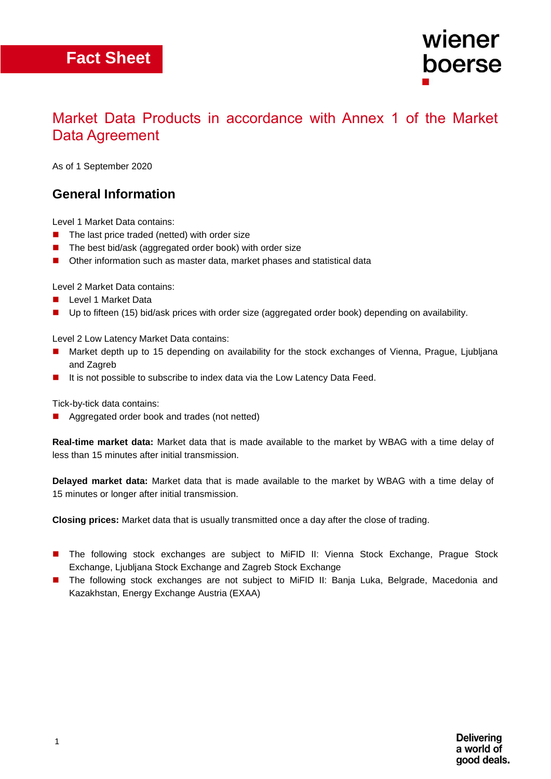## **Fact Sheet**

### Market Data Products in accordance with Annex 1 of the Market Data Agreement

As of 1 September 2020

#### **General Information**

Level 1 Market Data contains:

- $\blacksquare$  The last price traded (netted) with order size
- The best bid/ask (aggregated order book) with order size
- Other information such as master data, market phases and statistical data

Level 2 Market Data contains:

- **Level 1 Market Data**
- **Up to fifteen (15) bid/ask prices with order size (aggregated order book) depending on availability.**

Level 2 Low Latency Market Data contains:

- Market depth up to 15 depending on availability for the stock exchanges of Vienna, Prague, Ljubljana and Zagreb
- It is not possible to subscribe to index data via the Low Latency Data Feed.

Tick-by-tick data contains:

■ Aggregated order book and trades (not netted)

**Real-time market data:** Market data that is made available to the market by WBAG with a time delay of less than 15 minutes after initial transmission.

**Delayed market data:** Market data that is made available to the market by WBAG with a time delay of 15 minutes or longer after initial transmission.

**Closing prices:** Market data that is usually transmitted once a day after the close of trading.

- **The following stock exchanges are subject to MiFID II: Vienna Stock Exchange, Prague Stock** Exchange, Ljubljana Stock Exchange and Zagreb Stock Exchange
- The following stock exchanges are not subject to MiFID II: Banja Luka, Belgrade, Macedonia and Kazakhstan, Energy Exchange Austria (EXAA)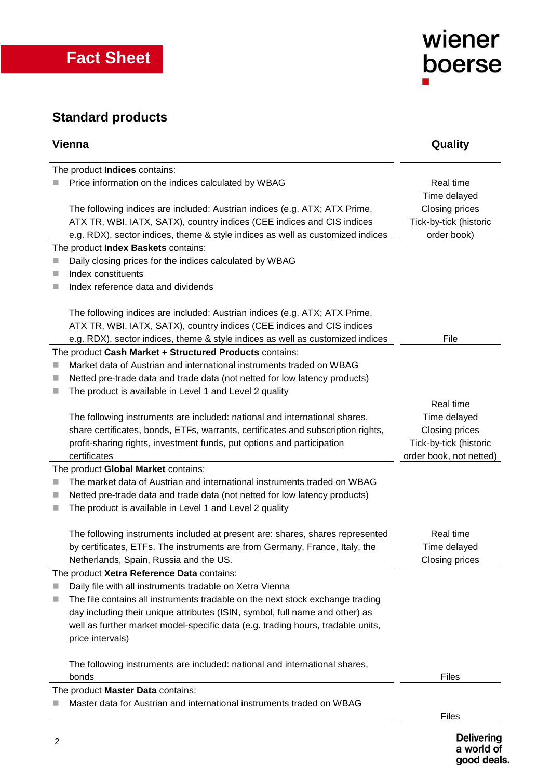

## **Standard products**

| Vienna                              |                                                                                                                                                                                                                                        | Quality                                                 |  |  |  |
|-------------------------------------|----------------------------------------------------------------------------------------------------------------------------------------------------------------------------------------------------------------------------------------|---------------------------------------------------------|--|--|--|
|                                     | The product Indices contains:                                                                                                                                                                                                          |                                                         |  |  |  |
|                                     | Price information on the indices calculated by WBAG                                                                                                                                                                                    | Real time<br>Time delayed                               |  |  |  |
|                                     | The following indices are included: Austrian indices (e.g. ATX; ATX Prime,<br>ATX TR, WBI, IATX, SATX), country indices (CEE indices and CIS indices<br>e.g. RDX), sector indices, theme & style indices as well as customized indices | Closing prices<br>Tick-by-tick (historic<br>order book) |  |  |  |
| The product Index Baskets contains: |                                                                                                                                                                                                                                        |                                                         |  |  |  |
|                                     | Daily closing prices for the indices calculated by WBAG                                                                                                                                                                                |                                                         |  |  |  |
| ш                                   | Index constituents                                                                                                                                                                                                                     |                                                         |  |  |  |
| ۰                                   | Index reference data and dividends                                                                                                                                                                                                     |                                                         |  |  |  |
|                                     | The following indices are included: Austrian indices (e.g. ATX; ATX Prime,<br>ATX TR, WBI, IATX, SATX), country indices (CEE indices and CIS indices                                                                                   |                                                         |  |  |  |
|                                     | e.g. RDX), sector indices, theme & style indices as well as customized indices                                                                                                                                                         | File                                                    |  |  |  |
|                                     | The product Cash Market + Structured Products contains:                                                                                                                                                                                |                                                         |  |  |  |
| ш                                   | Market data of Austrian and international instruments traded on WBAG                                                                                                                                                                   |                                                         |  |  |  |
| ш                                   | Netted pre-trade data and trade data (not netted for low latency products)                                                                                                                                                             |                                                         |  |  |  |
| ш                                   | The product is available in Level 1 and Level 2 quality                                                                                                                                                                                |                                                         |  |  |  |
|                                     |                                                                                                                                                                                                                                        | Real time                                               |  |  |  |
|                                     | The following instruments are included: national and international shares,                                                                                                                                                             | Time delayed                                            |  |  |  |
|                                     | share certificates, bonds, ETFs, warrants, certificates and subscription rights,                                                                                                                                                       | Closing prices                                          |  |  |  |
|                                     | profit-sharing rights, investment funds, put options and participation                                                                                                                                                                 | Tick-by-tick (historic                                  |  |  |  |
|                                     | certificates                                                                                                                                                                                                                           | order book, not netted)                                 |  |  |  |
|                                     | The product Global Market contains:                                                                                                                                                                                                    |                                                         |  |  |  |
| ш                                   | The market data of Austrian and international instruments traded on WBAG                                                                                                                                                               |                                                         |  |  |  |
| ш                                   | Netted pre-trade data and trade data (not netted for low latency products)                                                                                                                                                             |                                                         |  |  |  |
| ш                                   | The product is available in Level 1 and Level 2 quality                                                                                                                                                                                |                                                         |  |  |  |
|                                     | The following instruments included at present are: shares, shares represented                                                                                                                                                          | Real time                                               |  |  |  |
|                                     | by certificates, ETFs. The instruments are from Germany, France, Italy, the                                                                                                                                                            | Time delayed                                            |  |  |  |
|                                     | Netherlands, Spain, Russia and the US.                                                                                                                                                                                                 | Closing prices                                          |  |  |  |
|                                     | The product Xetra Reference Data contains:                                                                                                                                                                                             |                                                         |  |  |  |
| ш                                   | Daily file with all instruments tradable on Xetra Vienna                                                                                                                                                                               |                                                         |  |  |  |
| ш                                   | The file contains all instruments tradable on the next stock exchange trading                                                                                                                                                          |                                                         |  |  |  |
|                                     | day including their unique attributes (ISIN, symbol, full name and other) as                                                                                                                                                           |                                                         |  |  |  |
|                                     | well as further market model-specific data (e.g. trading hours, tradable units,                                                                                                                                                        |                                                         |  |  |  |
|                                     | price intervals)                                                                                                                                                                                                                       |                                                         |  |  |  |
|                                     | The following instruments are included: national and international shares,                                                                                                                                                             |                                                         |  |  |  |
|                                     | bonds                                                                                                                                                                                                                                  | <b>Files</b>                                            |  |  |  |
| The product Master Data contains:   |                                                                                                                                                                                                                                        |                                                         |  |  |  |
|                                     | Master data for Austrian and international instruments traded on WBAG                                                                                                                                                                  |                                                         |  |  |  |
|                                     |                                                                                                                                                                                                                                        | Files                                                   |  |  |  |
|                                     |                                                                                                                                                                                                                                        |                                                         |  |  |  |

wiener

boerse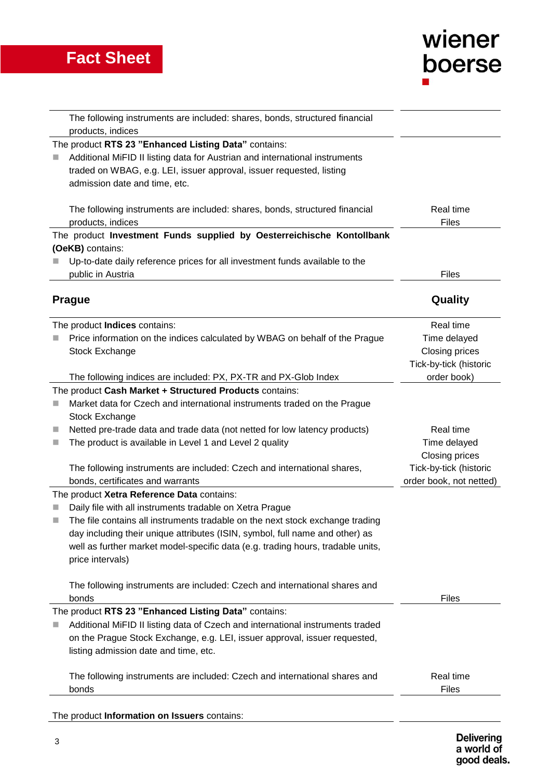# wiener boerse

|   | The following instruments are included: shares, bonds, structured financial<br>products, indices                                                                                                                                                                                                                                 |                                                                       |
|---|----------------------------------------------------------------------------------------------------------------------------------------------------------------------------------------------------------------------------------------------------------------------------------------------------------------------------------|-----------------------------------------------------------------------|
|   | The product RTS 23 "Enhanced Listing Data" contains:<br>Additional MiFID II listing data for Austrian and international instruments<br>traded on WBAG, e.g. LEI, issuer approval, issuer requested, listing<br>admission date and time, etc.                                                                                     |                                                                       |
|   | The following instruments are included: shares, bonds, structured financial<br>products, indices                                                                                                                                                                                                                                 | Real time<br><b>Files</b>                                             |
|   | The product Investment Funds supplied by Oesterreichische Kontollbank                                                                                                                                                                                                                                                            |                                                                       |
|   | (OeKB) contains:<br>Up-to-date daily reference prices for all investment funds available to the<br>public in Austria                                                                                                                                                                                                             | <b>Files</b>                                                          |
|   | <b>Prague</b>                                                                                                                                                                                                                                                                                                                    | Quality                                                               |
|   | The product Indices contains:<br>Price information on the indices calculated by WBAG on behalf of the Prague<br>Stock Exchange                                                                                                                                                                                                   | Real time<br>Time delayed<br>Closing prices<br>Tick-by-tick (historic |
|   | The following indices are included: PX, PX-TR and PX-Glob Index                                                                                                                                                                                                                                                                  | order book)                                                           |
| ш | The product Cash Market + Structured Products contains:<br>Market data for Czech and international instruments traded on the Prague<br>Stock Exchange                                                                                                                                                                            |                                                                       |
| ш | Netted pre-trade data and trade data (not netted for low latency products)<br>The product is available in Level 1 and Level 2 quality                                                                                                                                                                                            | Real time<br>Time delayed<br>Closing prices                           |
|   | The following instruments are included: Czech and international shares,<br>bonds, certificates and warrants                                                                                                                                                                                                                      | Tick-by-tick (historic<br>order book, not netted)                     |
|   | The product Xetra Reference Data contains:                                                                                                                                                                                                                                                                                       |                                                                       |
|   | Daily file with all instruments tradable on Xetra Prague<br>The file contains all instruments tradable on the next stock exchange trading<br>day including their unique attributes (ISIN, symbol, full name and other) as<br>well as further market model-specific data (e.g. trading hours, tradable units,<br>price intervals) |                                                                       |
|   | The following instruments are included: Czech and international shares and<br>bonds                                                                                                                                                                                                                                              | Files                                                                 |
|   | The product RTS 23 "Enhanced Listing Data" contains:<br>Additional MiFID II listing data of Czech and international instruments traded<br>on the Prague Stock Exchange, e.g. LEI, issuer approval, issuer requested,<br>listing admission date and time, etc.                                                                    |                                                                       |
|   | The following instruments are included: Czech and international shares and<br>bonds                                                                                                                                                                                                                                              | Real time<br>Files                                                    |
|   | The product Information on Issuers contains:                                                                                                                                                                                                                                                                                     |                                                                       |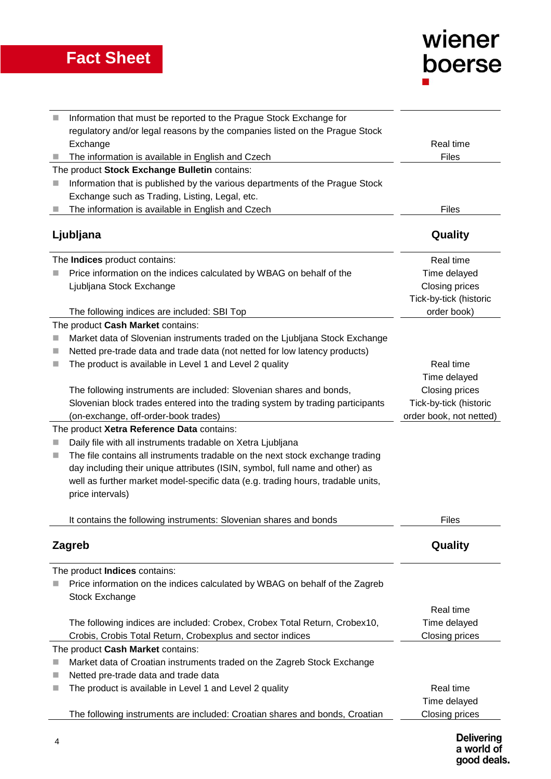## **Fact Sheet**

# wiener<br>boerse

|           | Information that must be reported to the Prague Stock Exchange for                                              |                         |
|-----------|-----------------------------------------------------------------------------------------------------------------|-------------------------|
|           | regulatory and/or legal reasons by the companies listed on the Prague Stock                                     |                         |
|           | Exchange                                                                                                        | Real time               |
|           | The information is available in English and Czech                                                               | Files                   |
|           | The product Stock Exchange Bulletin contains:                                                                   |                         |
|           | Information that is published by the various departments of the Prague Stock                                    |                         |
|           | Exchange such as Trading, Listing, Legal, etc.                                                                  |                         |
|           | The information is available in English and Czech                                                               | Files                   |
| Ljubljana |                                                                                                                 | Quality                 |
|           | The Indices product contains:                                                                                   | Real time               |
|           | Price information on the indices calculated by WBAG on behalf of the                                            | Time delayed            |
|           | Ljubljana Stock Exchange                                                                                        | Closing prices          |
|           |                                                                                                                 | Tick-by-tick (historic  |
|           | The following indices are included: SBI Top                                                                     | order book)             |
|           | The product Cash Market contains:                                                                               |                         |
|           | Market data of Slovenian instruments traded on the Ljubljana Stock Exchange                                     |                         |
| ш         | Netted pre-trade data and trade data (not netted for low latency products)                                      |                         |
|           | The product is available in Level 1 and Level 2 quality                                                         | Real time               |
|           |                                                                                                                 | Time delayed            |
|           | The following instruments are included: Slovenian shares and bonds,                                             | Closing prices          |
|           | Slovenian block trades entered into the trading system by trading participants                                  | Tick-by-tick (historic  |
|           | (on-exchange, off-order-book trades)                                                                            | order book, not netted) |
|           | The product Xetra Reference Data contains:                                                                      |                         |
|           | Daily file with all instruments tradable on Xetra Ljubljana                                                     |                         |
| ш         | The file contains all instruments tradable on the next stock exchange trading                                   |                         |
|           | day including their unique attributes (ISIN, symbol, full name and other) as                                    |                         |
|           | well as further market model-specific data (e.g. trading hours, tradable units,                                 |                         |
|           | price intervals)                                                                                                |                         |
|           |                                                                                                                 |                         |
|           | It contains the following instruments: Slovenian shares and bonds                                               | <b>Files</b>            |
|           |                                                                                                                 |                         |
|           | Zagreb                                                                                                          | Quality                 |
|           | The product Indices contains:                                                                                   |                         |
|           | Price information on the indices calculated by WBAG on behalf of the Zagreb                                     |                         |
|           | Stock Exchange                                                                                                  |                         |
|           |                                                                                                                 | Real time               |
|           | The following indices are included: Crobex, Crobex Total Return, Crobex10,                                      | Time delayed            |
|           | Crobis, Crobis Total Return, Crobexplus and sector indices                                                      | Closing prices          |
|           | The product Cash Market contains:                                                                               |                         |
|           |                                                                                                                 |                         |
| ш         | Market data of Croatian instruments traded on the Zagreb Stock Exchange<br>Netted pre-trade data and trade data |                         |
|           |                                                                                                                 | Real time               |
| ш         | The product is available in Level 1 and Level 2 quality                                                         |                         |
|           |                                                                                                                 | Time delayed            |
|           | The following instruments are included: Croatian shares and bonds, Croatian                                     | Closing prices          |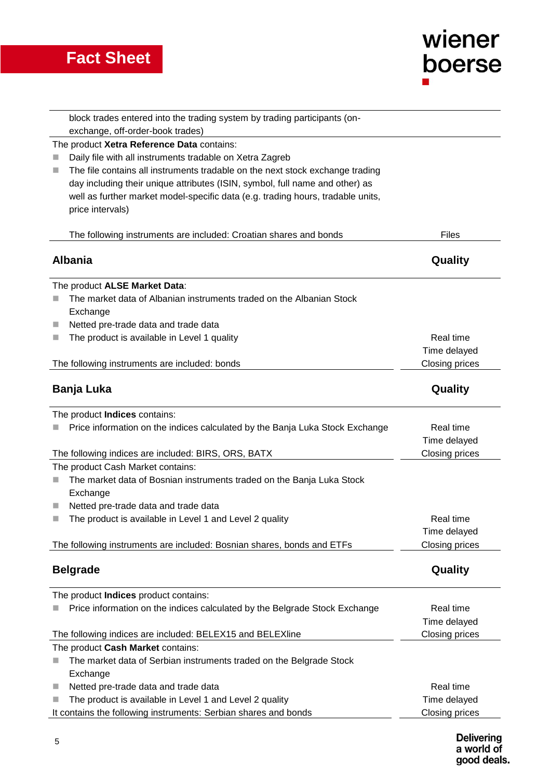## **Fact Sheet**

| wiener |  |
|--------|--|
| boerse |  |
| ш      |  |

| block trades entered into the trading system by trading participants (on-          |                       |
|------------------------------------------------------------------------------------|-----------------------|
| exchange, off-order-book trades)                                                   |                       |
| The product Xetra Reference Data contains:                                         |                       |
| Daily file with all instruments tradable on Xetra Zagreb                           |                       |
| The file contains all instruments tradable on the next stock exchange trading<br>ш |                       |
| day including their unique attributes (ISIN, symbol, full name and other) as       |                       |
| well as further market model-specific data (e.g. trading hours, tradable units,    |                       |
| price intervals)                                                                   |                       |
|                                                                                    |                       |
| The following instruments are included: Croatian shares and bonds                  | <b>Files</b>          |
| <b>Albania</b>                                                                     | Quality               |
|                                                                                    |                       |
| The product ALSE Market Data:                                                      |                       |
| The market data of Albanian instruments traded on the Albanian Stock               |                       |
| Exchange                                                                           |                       |
| Netted pre-trade data and trade data<br>ш                                          |                       |
| The product is available in Level 1 quality<br>٠                                   | Real time             |
|                                                                                    | Time delayed          |
| The following instruments are included: bonds                                      | Closing prices        |
|                                                                                    |                       |
| Banja Luka                                                                         | Quality               |
|                                                                                    |                       |
| The product Indices contains:                                                      |                       |
| Price information on the indices calculated by the Banja Luka Stock Exchange       | Real time             |
|                                                                                    | Time delayed          |
| The following indices are included: BIRS, ORS, BATX                                | Closing prices        |
| The product Cash Market contains:                                                  |                       |
| The market data of Bosnian instruments traded on the Banja Luka Stock<br>ш         |                       |
| Exchange                                                                           |                       |
| Netted pre-trade data and trade data<br>٠                                          |                       |
| The product is available in Level 1 and Level 2 quality                            | Real time             |
|                                                                                    | Time delayed          |
| The following instruments are included: Bosnian shares, bonds and ETFs             | Closing prices        |
| <b>Belgrade</b>                                                                    | Quality               |
|                                                                                    |                       |
| The product Indices product contains:                                              |                       |
| Price information on the indices calculated by the Belgrade Stock Exchange         | Real time             |
|                                                                                    | Time delayed          |
| The following indices are included: BELEX15 and BELEXIine                          | <b>Closing prices</b> |
| The product Cash Market contains:                                                  |                       |
| The market data of Serbian instruments traded on the Belgrade Stock                |                       |
| Exchange                                                                           |                       |
| Netted pre-trade data and trade data<br>ш                                          | Real time             |
| The product is available in Level 1 and Level 2 quality<br>ш                       | Time delayed          |
| It contains the following instruments: Serbian shares and bonds                    | Closing prices        |
|                                                                                    |                       |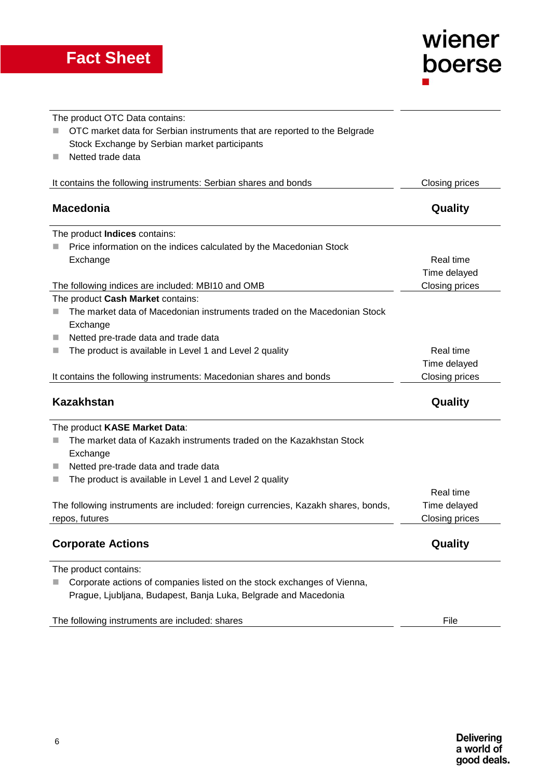

The product OTC Data contains: ■ OTC market data for Serbian instruments that are reported to the Belgrade Stock Exchange by Serbian market participants Netted trade data It contains the following instruments: Serbian shares and bonds Closing prices **Macedonia Quality** The product **Indices** contains:  $\blacksquare$  Price information on the indices calculated by the Macedonian Stock Exchange The following indices are included: MBI10 and OMB Real time Time delayed Closing prices The product **Cash Market** contains: ■ The market data of Macedonian instruments traded on the Macedonian Stock Exchange Netted pre-trade data and trade data ■ The product is available in Level 1 and Level 2 quality It contains the following instruments: Macedonian shares and bonds Real time Time delayed Closing prices **Kazakhstan Quality** The product **KASE Market Data**: ■ The market data of Kazakh instruments traded on the Kazakhstan Stock **Exchange** Netted pre-trade data and trade data  $\blacksquare$  The product is available in Level 1 and Level 2 quality The following instruments are included: foreign currencies, Kazakh shares, bonds, repos, futures Real time Time delayed Closing prices **Corporate Actions Corporate Actions Quality** The product contains: ■ Corporate actions of companies listed on the stock exchanges of Vienna, Prague, Ljubljana, Budapest, Banja Luka, Belgrade and Macedonia The following instruments are included: shares File